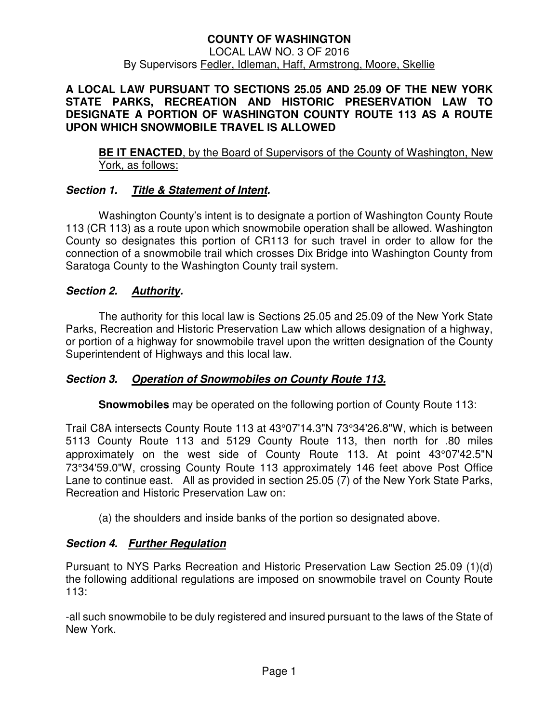#### **A LOCAL LAW PURSUANT TO SECTIONS 25.05 AND 25.09 OF THE NEW YORK STATE PARKS, RECREATION AND HISTORIC PRESERVATION LAW TO DESIGNATE A PORTION OF WASHINGTON COUNTY ROUTE 113 AS A ROUTE UPON WHICH SNOWMOBILE TRAVEL IS ALLOWED**

**BE IT ENACTED**, by the Board of Supervisors of the County of Washington, New York, as follows:

### **Section 1. Title & Statement of Intent.**

 Washington County's intent is to designate a portion of Washington County Route 113 (CR 113) as a route upon which snowmobile operation shall be allowed. Washington County so designates this portion of CR113 for such travel in order to allow for the connection of a snowmobile trail which crosses Dix Bridge into Washington County from Saratoga County to the Washington County trail system.

### **Section 2. Authority.**

 The authority for this local law is Sections 25.05 and 25.09 of the New York State Parks, Recreation and Historic Preservation Law which allows designation of a highway, or portion of a highway for snowmobile travel upon the written designation of the County Superintendent of Highways and this local law.

# **Section 3. Operation of Snowmobiles on County Route 113.**

 **Snowmobiles** may be operated on the following portion of County Route 113:

Trail C8A intersects County Route 113 at 43°07'14.3"N 73°34'26.8"W, which is between 5113 County Route 113 and 5129 County Route 113, then north for .80 miles approximately on the west side of County Route 113. At point 43°07'42.5"N 73°34'59.0"W, crossing County Route 113 approximately 146 feet above Post Office Lane to continue east. All as provided in section 25.05 (7) of the New York State Parks, Recreation and Historic Preservation Law on:

(a) the shoulders and inside banks of the portion so designated above.

# **Section 4. Further Regulation**

Pursuant to NYS Parks Recreation and Historic Preservation Law Section 25.09 (1)(d) the following additional regulations are imposed on snowmobile travel on County Route 113:

-all such snowmobile to be duly registered and insured pursuant to the laws of the State of New York.